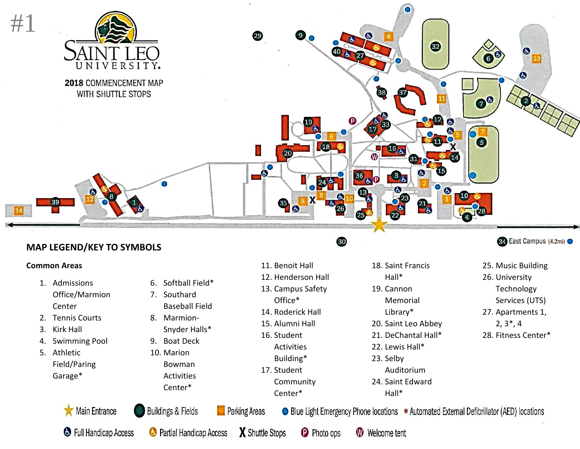

11. Benoit Hall 12. Henderson Hall 13. Campus Safety Office\* 14. Roderick Hall 15. Alumni Hall 16. Student Activities Building\* 17. Student

> **Community** Center\*

### **MAP LEGEND/KEY TO SYMBOLS**

#### **Common Areas**

- 1. Admissions Office/Marmion Center
- 2. Tennis Courts
- 3. Kirk Hall
- 4. Swimming Pool
- 5. Athletic Field/Paring Garage\*
- 6. Softball Field\*
- 7. Southard Baseball Field
- 8. Marmion-
- Snyder Halls\*
- 9. Boat Deck
- 10. Marion Bowman Activities Center\*

# **Parking Areas**

60

**€** East Campus (4.2mi) ●

- 25. Music Building 26. University Technology Services (UTS) 27. Apartments 1, 2, 3\*, 4
- 28. Fitness Center\*

• Blue Light Emergency Phone locations \* Automated External Defibrillator (AED) locations

18. Saint Francis Hall\* 19. Cannon

Memorial Library\* 20. Saint Leo Abbey 21. DeChantal Hall\* 22. Lewis Hall\*

Auditorium 24. Saint Edward Hall\*

**C** Full Handicap Access

Main Entrance



Buildings & Fields

X Shuttle Stops

**P** Photo ops

**W** Welcome tent

23. Selby